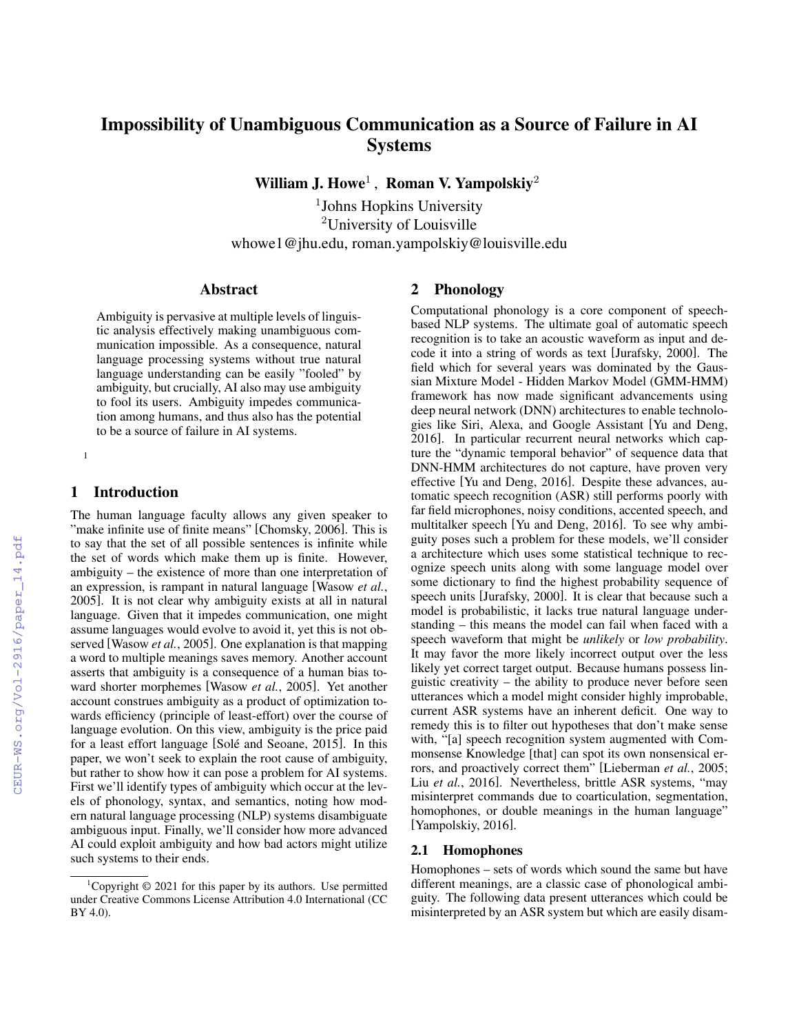# Impossibility of Unambiguous Communication as a Source of Failure in AI **Systems**

William J. Howe<sup>1</sup>, Roman V. Yampolskiy<sup>2</sup>

<sup>1</sup>Johns Hopkins University <sup>2</sup>University of Louisville whowe1@jhu.edu, roman.yampolskiy@louisville.edu

#### Abstract

Ambiguity is pervasive at multiple levels of linguistic analysis effectively making unambiguous communication impossible. As a consequence, natural language processing systems without true natural language understanding can be easily "fooled" by ambiguity, but crucially, AI also may use ambiguity to fool its users. Ambiguity impedes communication among humans, and thus also has the potential to be a source of failure in AI systems.

## 1 Introduction

[1](#page-0-0)

The human language faculty allows any given speaker to "make infinite use of finite means" [\[Chomsky, 2006\]](#page--1-0). This is to say that the set of all possible sentences is infinite while the set of words which make them up is finite. However, ambiguity – the existence of more than one interpretation of an expression, is rampant in natural language [\[Wasow](#page--1-1) *et al.*, [2005\]](#page--1-1). It is not clear why ambiguity exists at all in natural language. Given that it impedes communication, one might assume languages would evolve to avoid it, yet this is not observed [\[Wasow](#page--1-1) *et al.*, 2005]. One explanation is that mapping a word to multiple meanings saves memory. Another account asserts that ambiguity is a consequence of a human bias toward shorter morphemes [\[Wasow](#page--1-1) *et al.*, 2005]. Yet another account construes ambiguity as a product of optimization towards efficiency (principle of least-effort) over the course of language evolution. On this view, ambiguity is the price paid for a least effort language [Solé and Seoane, 2015]. In this paper, we won't seek to explain the root cause of ambiguity, but rather to show how it can pose a problem for AI systems. First we'll identify types of ambiguity which occur at the levels of phonology, syntax, and semantics, noting how modern natural language processing (NLP) systems disambiguate ambiguous input. Finally, we'll consider how more advanced AI could exploit ambiguity and how bad actors might utilize such systems to their ends.

# 2 Phonology

Computational phonology is a core component of speechbased NLP systems. The ultimate goal of automatic speech recognition is to take an acoustic waveform as input and decode it into a string of words as text [\[Jurafsky, 2000\]](#page--1-3). The field which for several years was dominated by the Gaussian Mixture Model - Hidden Markov Model (GMM-HMM) framework has now made significant advancements using deep neural network (DNN) architectures to enable technologies like Siri, Alexa, and Google Assistant [\[Yu and Deng,](#page--1-4) [2016\]](#page--1-4). In particular recurrent neural networks which capture the "dynamic temporal behavior" of sequence data that DNN-HMM architectures do not capture, have proven very effective [\[Yu and Deng, 2016\]](#page--1-4). Despite these advances, automatic speech recognition (ASR) still performs poorly with far field microphones, noisy conditions, accented speech, and multitalker speech [\[Yu and Deng, 2016\]](#page--1-4). To see why ambiguity poses such a problem for these models, we'll consider a architecture which uses some statistical technique to recognize speech units along with some language model over some dictionary to find the highest probability sequence of speech units [\[Jurafsky, 2000\]](#page--1-3). It is clear that because such a model is probabilistic, it lacks true natural language understanding – this means the model can fail when faced with a speech waveform that might be *unlikely* or *low probability*. It may favor the more likely incorrect output over the less likely yet correct target output. Because humans possess linguistic creativity – the ability to produce never before seen utterances which a model might consider highly improbable, current ASR systems have an inherent deficit. One way to remedy this is to filter out hypotheses that don't make sense with, "[a] speech recognition system augmented with Commonsense Knowledge [that] can spot its own nonsensical errors, and proactively correct them" [\[Lieberman](#page--1-5) *et al.*, 2005; Liu *et al.*[, 2016\]](#page--1-6). Nevertheless, brittle ASR systems, "may misinterpret commands due to coarticulation, segmentation, homophones, or double meanings in the human language" [\[Yampolskiy, 2016\]](#page--1-7).

#### 2.1 Homophones

Homophones – sets of words which sound the same but have different meanings, are a classic case of phonological ambiguity. The following data present utterances which could be misinterpreted by an ASR system but which are easily disam-

<span id="page-0-0"></span><sup>&</sup>lt;sup>1</sup>Copyright  $\odot$  2021 for this paper by its authors. Use permitted under Creative Commons License Attribution 4.0 International (CC BY 4.0).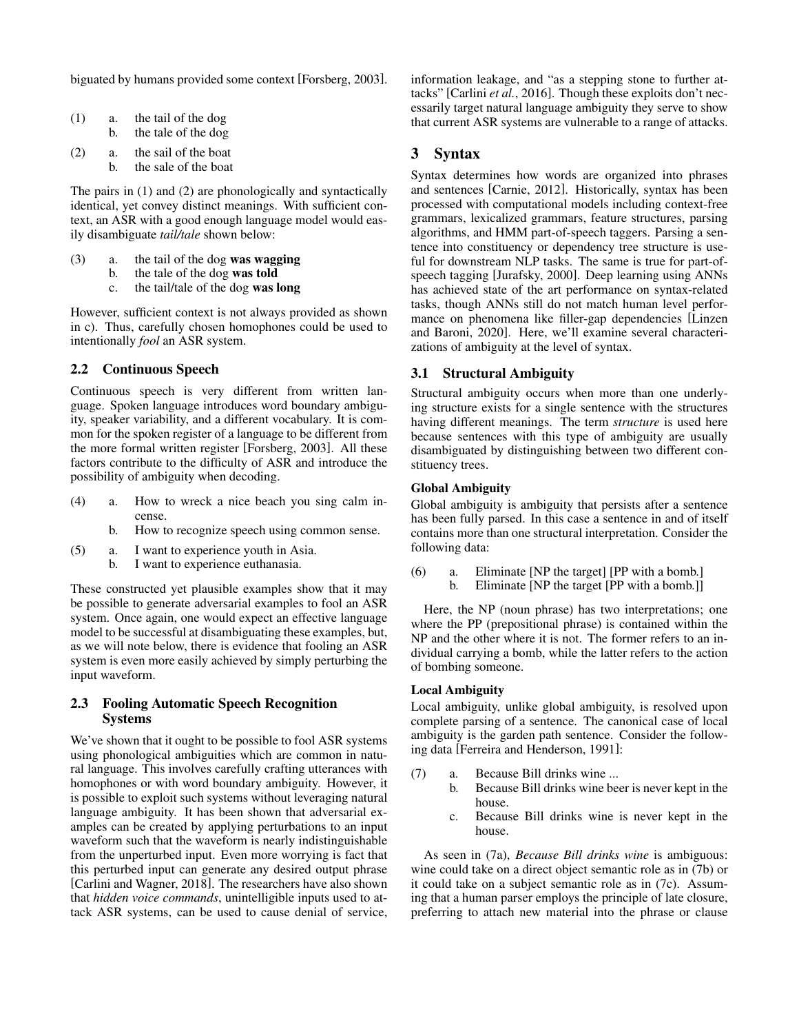biguated by humans provided some context [\[Forsberg, 2003\]](#page-7-0).

| $\left(1\right)$ | a. | the tail of the dog |  |
|------------------|----|---------------------|--|
|                  | b. | the tale of the dog |  |

(2) a. the sail of the boat b. the sale of the boat

The pairs in (1) and (2) are phonologically and syntactically identical, yet convey distinct meanings. With sufficient context, an ASR with a good enough language model would easily disambiguate *tail/tale* shown below:

- (3) a. the tail of the dog was wagging
	- b. the tale of the dog was told
	- c. the tail/tale of the dog was long

However, sufficient context is not always provided as shown in c). Thus, carefully chosen homophones could be used to intentionally *fool* an ASR system.

# 2.2 Continuous Speech

Continuous speech is very different from written language. Spoken language introduces word boundary ambiguity, speaker variability, and a different vocabulary. It is common for the spoken register of a language to be different from the more formal written register [\[Forsberg, 2003\]](#page-7-0). All these factors contribute to the difficulty of ASR and introduce the possibility of ambiguity when decoding.

- (4) a. How to wreck a nice beach you sing calm incense.
	- b. How to recognize speech using common sense.
- (5) a. I want to experience youth in Asia.
	- b. I want to experience euthanasia.

These constructed yet plausible examples show that it may be possible to generate adversarial examples to fool an ASR system. Once again, one would expect an effective language model to be successful at disambiguating these examples, but, as we will note below, there is evidence that fooling an ASR system is even more easily achieved by simply perturbing the input waveform.

## 2.3 Fooling Automatic Speech Recognition Systems

We've shown that it ought to be possible to fool ASR systems using phonological ambiguities which are common in natural language. This involves carefully crafting utterances with homophones or with word boundary ambiguity. However, it is possible to exploit such systems without leveraging natural language ambiguity. It has been shown that adversarial examples can be created by applying perturbations to an input waveform such that the waveform is nearly indistinguishable from the unperturbed input. Even more worrying is fact that this perturbed input can generate any desired output phrase [\[Carlini and Wagner, 2018\]](#page-6-0). The researchers have also shown that *hidden voice commands*, unintelligible inputs used to attack ASR systems, can be used to cause denial of service, information leakage, and "as a stepping stone to further attacks" [\[Carlini](#page-6-1) *et al.*, 2016]. Though these exploits don't necessarily target natural language ambiguity they serve to show that current ASR systems are vulnerable to a range of attacks.

# 3 Syntax

Syntax determines how words are organized into phrases and sentences [\[Carnie, 2012\]](#page-6-2). Historically, syntax has been processed with computational models including context-free grammars, lexicalized grammars, feature structures, parsing algorithms, and HMM part-of-speech taggers. Parsing a sentence into constituency or dependency tree structure is useful for downstream NLP tasks. The same is true for part-ofspeech tagging [\[Jurafsky, 2000\]](#page-7-1). Deep learning using ANNs has achieved state of the art performance on syntax-related tasks, though ANNs still do not match human level performance on phenomena like filler-gap dependencies [\[Linzen](#page-7-2) [and Baroni, 2020\]](#page-7-2). Here, we'll examine several characterizations of ambiguity at the level of syntax.

# 3.1 Structural Ambiguity

Structural ambiguity occurs when more than one underlying structure exists for a single sentence with the structures having different meanings. The term *structure* is used here because sentences with this type of ambiguity are usually disambiguated by distinguishing between two different constituency trees.

#### Global Ambiguity

Global ambiguity is ambiguity that persists after a sentence has been fully parsed. In this case a sentence in and of itself contains more than one structural interpretation. Consider the following data:

(6) a. Eliminate [NP the target] [PP with a bomb.] b. Eliminate [NP the target [PP with a bomb.]]

Here, the NP (noun phrase) has two interpretations; one where the PP (prepositional phrase) is contained within the NP and the other where it is not. The former refers to an individual carrying a bomb, while the latter refers to the action of bombing someone.

### Local Ambiguity

Local ambiguity, unlike global ambiguity, is resolved upon complete parsing of a sentence. The canonical case of local ambiguity is the garden path sentence. Consider the following data [\[Ferreira and Henderson, 1991\]](#page-7-3):

- (7) a. Because Bill drinks wine ...
	- b. Because Bill drinks wine beer is never kept in the house.
	- c. Because Bill drinks wine is never kept in the house.

As seen in (7a), *Because Bill drinks wine* is ambiguous: wine could take on a direct object semantic role as in (7b) or it could take on a subject semantic role as in (7c). Assuming that a human parser employs the principle of late closure, preferring to attach new material into the phrase or clause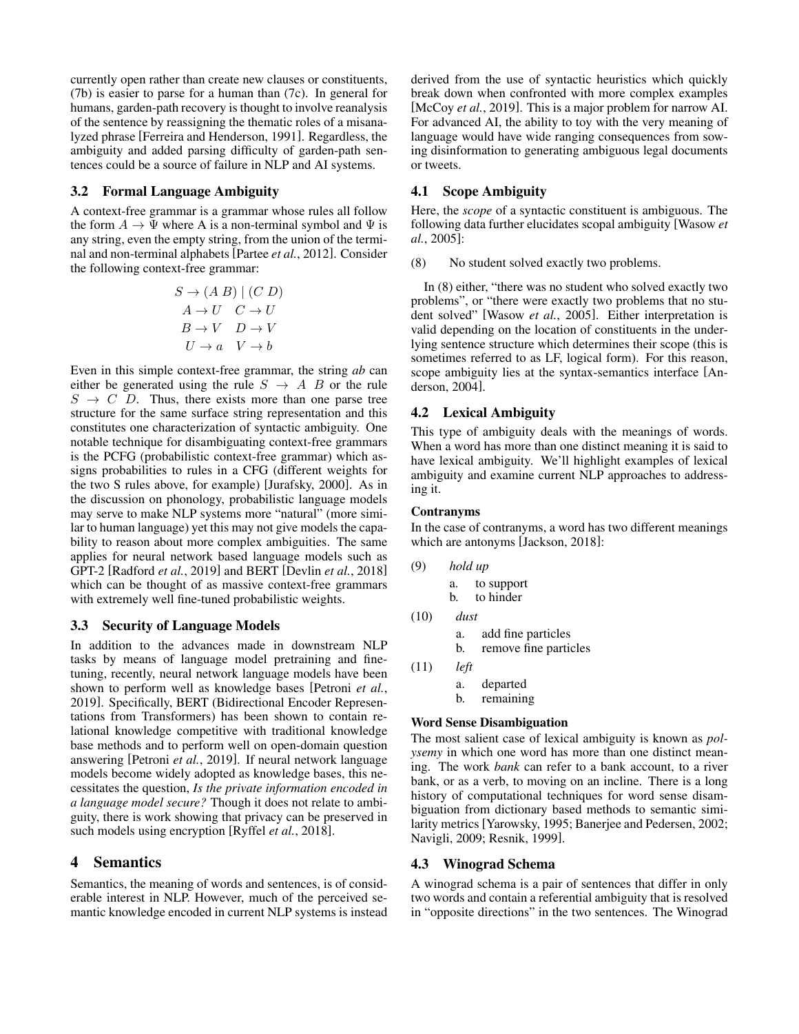currently open rather than create new clauses or constituents, (7b) is easier to parse for a human than (7c). In general for humans, garden-path recovery is thought to involve reanalysis of the sentence by reassigning the thematic roles of a misanalyzed phrase [\[Ferreira and Henderson, 1991\]](#page-7-3). Regardless, the ambiguity and added parsing difficulty of garden-path sentences could be a source of failure in NLP and AI systems.

## 3.2 Formal Language Ambiguity

A context-free grammar is a grammar whose rules all follow the form  $A \to \Psi$  where A is a non-terminal symbol and  $\Psi$  is any string, even the empty string, from the union of the terminal and non-terminal alphabets [\[Partee](#page-7-4) *et al.*, 2012]. Consider the following context-free grammar:

$$
S \to (A \ B) \mid (C \ D)
$$

$$
A \to U \quad C \to U
$$

$$
B \to V \quad D \to V
$$

$$
U \to a \quad V \to b
$$

Even in this simple context-free grammar, the string *ab* can either be generated using the rule  $S \rightarrow A \, B$  or the rule  $S \rightarrow C$  D. Thus, there exists more than one parse tree structure for the same surface string representation and this constitutes one characterization of syntactic ambiguity. One notable technique for disambiguating context-free grammars is the PCFG (probabilistic context-free grammar) which assigns probabilities to rules in a CFG (different weights for the two S rules above, for example) [\[Jurafsky, 2000\]](#page-7-1). As in the discussion on phonology, probabilistic language models may serve to make NLP systems more "natural" (more similar to human language) yet this may not give models the capability to reason about more complex ambiguities. The same applies for neural network based language models such as GPT-2 [\[Radford](#page-7-5) *et al.*, 2019] and BERT [\[Devlin](#page-6-3) *et al.*, 2018] which can be thought of as massive context-free grammars with extremely well fine-tuned probabilistic weights.

#### 3.3 Security of Language Models

In addition to the advances made in downstream NLP tasks by means of language model pretraining and finetuning, recently, neural network language models have been shown to perform well as knowledge bases [\[Petroni](#page-7-6) *et al.*, [2019\]](#page-7-6). Specifically, BERT (Bidirectional Encoder Representations from Transformers) has been shown to contain relational knowledge competitive with traditional knowledge base methods and to perform well on open-domain question answering [\[Petroni](#page-7-6) *et al.*, 2019]. If neural network language models become widely adopted as knowledge bases, this necessitates the question, *Is the private information encoded in a language model secure?* Though it does not relate to ambiguity, there is work showing that privacy can be preserved in such models using encryption [Ryffel *et al.*[, 2018\]](#page-8-0).

# 4 Semantics

Semantics, the meaning of words and sentences, is of considerable interest in NLP. However, much of the perceived semantic knowledge encoded in current NLP systems is instead derived from the use of syntactic heuristics which quickly break down when confronted with more complex examples [\[McCoy](#page-7-7) *et al.*, 2019]. This is a major problem for narrow AI. For advanced AI, the ability to toy with the very meaning of language would have wide ranging consequences from sowing disinformation to generating ambiguous legal documents or tweets.

## 4.1 Scope Ambiguity

Here, the *scope* of a syntactic constituent is ambiguous. The following data further elucidates scopal ambiguity [\[Wasow](#page-8-1) *et al.*[, 2005\]](#page-8-1):

(8) No student solved exactly two problems.

In (8) either, "there was no student who solved exactly two problems", or "there were exactly two problems that no student solved" [\[Wasow](#page-8-1) *et al.*, 2005]. Either interpretation is valid depending on the location of constituents in the underlying sentence structure which determines their scope (this is sometimes referred to as LF, logical form). For this reason, scope ambiguity lies at the syntax-semantics interface [\[An](#page-6-4)[derson, 2004\]](#page-6-4).

## 4.2 Lexical Ambiguity

This type of ambiguity deals with the meanings of words. When a word has more than one distinct meaning it is said to have lexical ambiguity. We'll highlight examples of lexical ambiguity and examine current NLP approaches to addressing it.

#### Contranyms

(9) *hold up*

In the case of contranyms, a word has two different meanings which are antonyms [\[Jackson, 2018\]](#page-7-8):

| hold up |            |
|---------|------------|
| а.      | to support |
| h.      | to hinder  |

- (10) *dust* a. add fine particles b. remove fine particles
- (11) *left* a. departed b. remaining

#### Word Sense Disambiguation

The most salient case of lexical ambiguity is known as *polysemy* in which one word has more than one distinct meaning. The work *bank* can refer to a bank account, to a river bank, or as a verb, to moving on an incline. There is a long history of computational techniques for word sense disambiguation from dictionary based methods to semantic similarity metrics [\[Yarowsky, 1995;](#page-8-2) [Banerjee and Pedersen, 2002;](#page-6-5) [Navigli, 2009;](#page-7-9) [Resnik, 1999\]](#page-7-10).

#### 4.3 Winograd Schema

A winograd schema is a pair of sentences that differ in only two words and contain a referential ambiguity that is resolved in "opposite directions" in the two sentences. The Winograd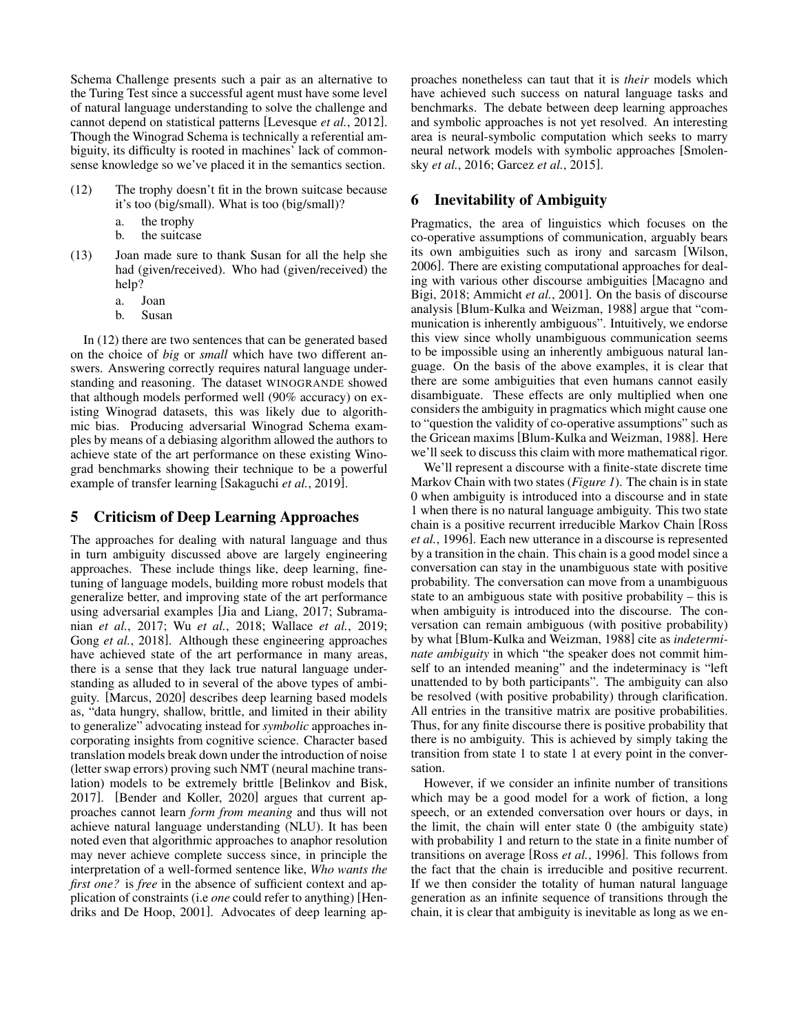Schema Challenge presents such a pair as an alternative to the Turing Test since a successful agent must have some level of natural language understanding to solve the challenge and cannot depend on statistical patterns [\[Levesque](#page-7-11) *et al.*, 2012]. Though the Winograd Schema is technically a referential ambiguity, its difficulty is rooted in machines' lack of commonsense knowledge so we've placed it in the semantics section.

- (12) The trophy doesn't fit in the brown suitcase because it's too (big/small). What is too (big/small)?
	- a. the trophy
	- b. the suitcase
- (13) Joan made sure to thank Susan for all the help she had (given/received). Who had (given/received) the help?
	- a. Joan
	- b. Susan

In (12) there are two sentences that can be generated based on the choice of *big* or *small* which have two different answers. Answering correctly requires natural language understanding and reasoning. The dataset WINOGRANDE showed that although models performed well (90% accuracy) on existing Winograd datasets, this was likely due to algorithmic bias. Producing adversarial Winograd Schema examples by means of a debiasing algorithm allowed the authors to achieve state of the art performance on these existing Winograd benchmarks showing their technique to be a powerful example of transfer learning [\[Sakaguchi](#page-8-3) *et al.*, 2019].

# 5 Criticism of Deep Learning Approaches

The approaches for dealing with natural language and thus in turn ambiguity discussed above are largely engineering approaches. These include things like, deep learning, finetuning of language models, building more robust models that generalize better, and improving state of the art performance using adversarial examples [\[Jia and Liang, 2017;](#page-7-12) [Subrama](#page-8-4)nian *et al.*[, 2017;](#page-8-4) Wu *et al.*[, 2018;](#page-8-5) [Wallace](#page-8-6) *et al.*, 2019; Gong *et al.*[, 2018\]](#page-7-13). Although these engineering approaches have achieved state of the art performance in many areas, there is a sense that they lack true natural language understanding as alluded to in several of the above types of ambiguity. [\[Marcus, 2020\]](#page-7-14) describes deep learning based models as, "data hungry, shallow, brittle, and limited in their ability to generalize" advocating instead for *symbolic* approaches incorporating insights from cognitive science. Character based translation models break down under the introduction of noise (letter swap errors) proving such NMT (neural machine translation) models to be extremely brittle [\[Belinkov and Bisk,](#page-6-6) [2017\]](#page-6-6). [\[Bender and Koller, 2020\]](#page-6-7) argues that current approaches cannot learn *form from meaning* and thus will not achieve natural language understanding (NLU). It has been noted even that algorithmic approaches to anaphor resolution may never achieve complete success since, in principle the interpretation of a well-formed sentence like, *Who wants the first one?* is *free* in the absence of sufficient context and application of constraints (i.e *one* could refer to anything) [\[Hen](#page-7-15)[driks and De Hoop, 2001\]](#page-7-15). Advocates of deep learning approaches nonetheless can taut that it is *their* models which have achieved such success on natural language tasks and benchmarks. The debate between deep learning approaches and symbolic approaches is not yet resolved. An interesting area is neural-symbolic computation which seeks to marry neural network models with symbolic approaches [\[Smolen](#page-8-7)sky *et al.*[, 2016;](#page-8-7) [Garcez](#page-7-16) *et al.*, 2015].

# 6 Inevitability of Ambiguity

Pragmatics, the area of linguistics which focuses on the co-operative assumptions of communication, arguably bears its own ambiguities such as irony and sarcasm [\[Wilson,](#page-8-8) [2006\]](#page-8-8). There are existing computational approaches for dealing with various other discourse ambiguities [\[Macagno and](#page-7-17) [Bigi, 2018;](#page-7-17) [Ammicht](#page-6-8) *et al.*, 2001]. On the basis of discourse analysis [\[Blum-Kulka and Weizman, 1988\]](#page-6-9) argue that "communication is inherently ambiguous". Intuitively, we endorse this view since wholly unambiguous communication seems to be impossible using an inherently ambiguous natural language. On the basis of the above examples, it is clear that there are some ambiguities that even humans cannot easily disambiguate. These effects are only multiplied when one considers the ambiguity in pragmatics which might cause one to "question the validity of co-operative assumptions" such as the Gricean maxims [\[Blum-Kulka and Weizman, 1988\]](#page-6-9). Here we'll seek to discuss this claim with more mathematical rigor.

We'll represent a discourse with a finite-state discrete time Markov Chain with two states (*Figure 1*). The chain is in state 0 when ambiguity is introduced into a discourse and in state 1 when there is no natural language ambiguity. This two state chain is a positive recurrent irreducible Markov Chain [\[Ross](#page-7-18) *et al.*[, 1996\]](#page-7-18). Each new utterance in a discourse is represented by a transition in the chain. This chain is a good model since a conversation can stay in the unambiguous state with positive probability. The conversation can move from a unambiguous state to an ambiguous state with positive probability – this is when ambiguity is introduced into the discourse. The conversation can remain ambiguous (with positive probability) by what [\[Blum-Kulka and Weizman, 1988\]](#page-6-9) cite as *indeterminate ambiguity* in which "the speaker does not commit himself to an intended meaning" and the indeterminacy is "left unattended to by both participants". The ambiguity can also be resolved (with positive probability) through clarification. All entries in the transitive matrix are positive probabilities. Thus, for any finite discourse there is positive probability that there is no ambiguity. This is achieved by simply taking the transition from state 1 to state 1 at every point in the conversation.

However, if we consider an infinite number of transitions which may be a good model for a work of fiction, a long speech, or an extended conversation over hours or days, in the limit, the chain will enter state 0 (the ambiguity state) with probability 1 and return to the state in a finite number of transitions on average [Ross *et al.*[, 1996\]](#page-7-18). This follows from the fact that the chain is irreducible and positive recurrent. If we then consider the totality of human natural language generation as an infinite sequence of transitions through the chain, it is clear that ambiguity is inevitable as long as we en-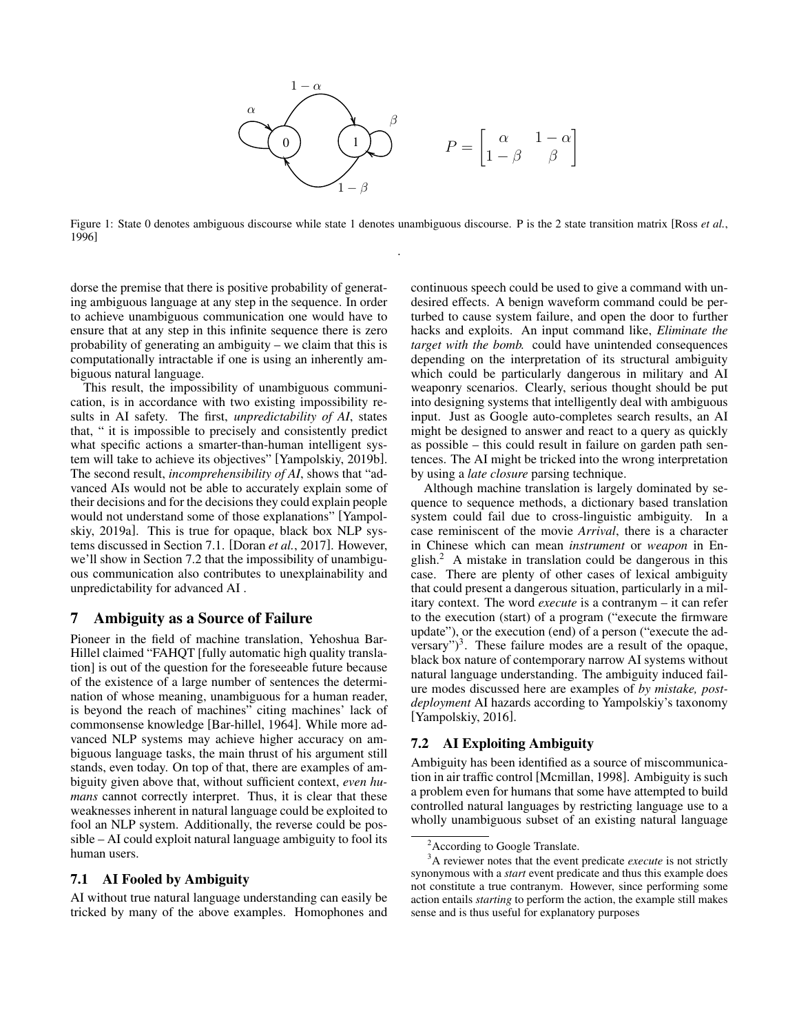

Figure 1: State 0 denotes ambiguous discourse while state 1 denotes unambiguous discourse. P is the 2 state transition matrix [\[Ross](#page-7-18) *et al.*, [1996\]](#page-7-18) .

dorse the premise that there is positive probability of generating ambiguous language at any step in the sequence. In order to achieve unambiguous communication one would have to ensure that at any step in this infinite sequence there is zero probability of generating an ambiguity – we claim that this is computationally intractable if one is using an inherently ambiguous natural language.

This result, the impossibility of unambiguous communication, is in accordance with two existing impossibility results in AI safety. The first, *unpredictability of AI*, states that, " it is impossible to precisely and consistently predict what specific actions a smarter-than-human intelligent system will take to achieve its objectives" [\[Yampolskiy, 2019b\]](#page-8-9). The second result, *incomprehensibility of AI*, shows that "advanced AIs would not be able to accurately explain some of their decisions and for the decisions they could explain people would not understand some of those explanations" [\[Yampol](#page-8-10)[skiy, 2019a\]](#page-8-10). This is true for opaque, black box NLP systems discussed in Section 7.1. [\[Doran](#page-6-10) *et al.*, 2017]. However, we'll show in Section 7.2 that the impossibility of unambiguous communication also contributes to unexplainability and unpredictability for advanced AI .

# 7 Ambiguity as a Source of Failure

Pioneer in the field of machine translation, Yehoshua Bar-Hillel claimed "FAHQT [fully automatic high quality translation] is out of the question for the foreseeable future because of the existence of a large number of sentences the determination of whose meaning, unambiguous for a human reader, is beyond the reach of machines" citing machines' lack of commonsense knowledge [\[Bar-hillel, 1964\]](#page-6-11). While more advanced NLP systems may achieve higher accuracy on ambiguous language tasks, the main thrust of his argument still stands, even today. On top of that, there are examples of ambiguity given above that, without sufficient context, *even humans* cannot correctly interpret. Thus, it is clear that these weaknesses inherent in natural language could be exploited to fool an NLP system. Additionally, the reverse could be possible – AI could exploit natural language ambiguity to fool its human users.

#### 7.1 AI Fooled by Ambiguity

AI without true natural language understanding can easily be tricked by many of the above examples. Homophones and continuous speech could be used to give a command with undesired effects. A benign waveform command could be perturbed to cause system failure, and open the door to further hacks and exploits. An input command like, *Eliminate the target with the bomb.* could have unintended consequences depending on the interpretation of its structural ambiguity which could be particularly dangerous in military and AI weaponry scenarios. Clearly, serious thought should be put into designing systems that intelligently deal with ambiguous input. Just as Google auto-completes search results, an AI might be designed to answer and react to a query as quickly as possible – this could result in failure on garden path sentences. The AI might be tricked into the wrong interpretation by using a *late closure* parsing technique.

Although machine translation is largely dominated by sequence to sequence methods, a dictionary based translation system could fail due to cross-linguistic ambiguity. In a case reminiscent of the movie *Arrival*, there is a character in Chinese which can mean *instrument* or *weapon* in English.[2](#page-4-0) A mistake in translation could be dangerous in this case. There are plenty of other cases of lexical ambiguity that could present a dangerous situation, particularly in a military context. The word *execute* is a contranym – it can refer to the execution (start) of a program ("execute the firmware update"), or the execution (end) of a person ("execute the adversary" $)^3$  $)^3$ . These failure modes are a result of the opaque, black box nature of contemporary narrow AI systems without natural language understanding. The ambiguity induced failure modes discussed here are examples of *by mistake, postdeployment* AI hazards according to Yampolskiy's taxonomy [\[Yampolskiy, 2016\]](#page-8-11).

#### 7.2 AI Exploiting Ambiguity

Ambiguity has been identified as a source of miscommunication in air traffic control [\[Mcmillan, 1998\]](#page-7-19). Ambiguity is such a problem even for humans that some have attempted to build controlled natural languages by restricting language use to a wholly unambiguous subset of an existing natural language

<span id="page-4-1"></span><span id="page-4-0"></span><sup>&</sup>lt;sup>2</sup> According to Google Translate.

<sup>&</sup>lt;sup>3</sup>A reviewer notes that the event predicate *execute* is not strictly synonymous with a *start* event predicate and thus this example does not constitute a true contranym. However, since performing some action entails *starting* to perform the action, the example still makes sense and is thus useful for explanatory purposes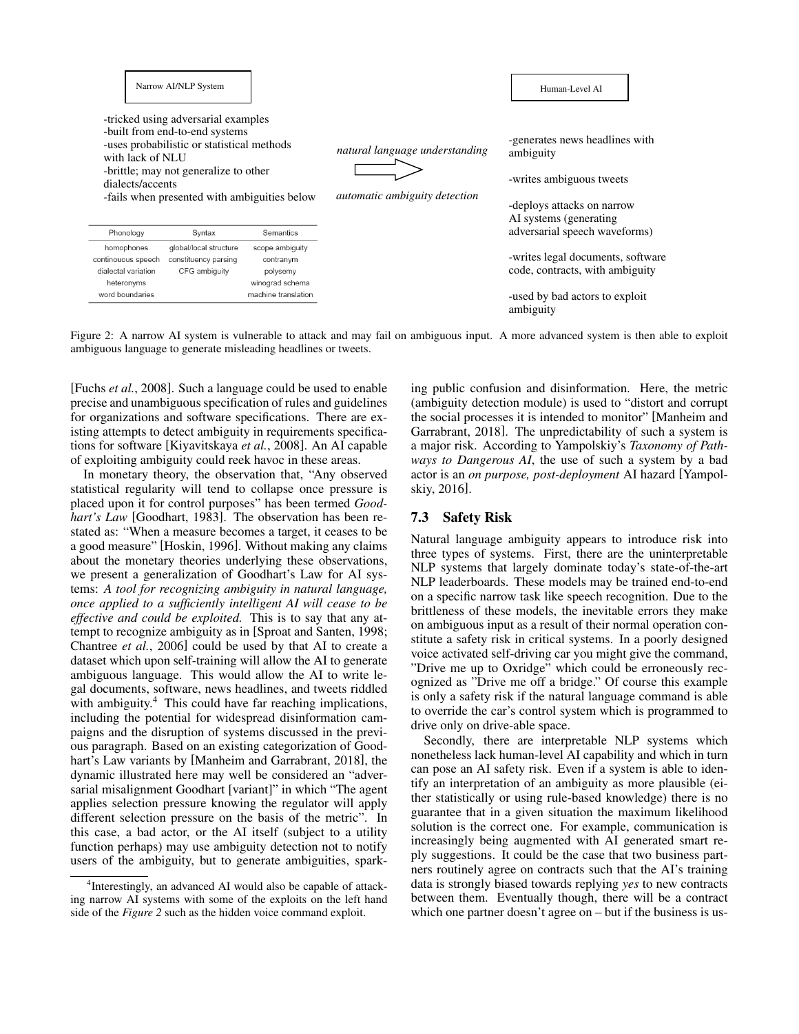|                                                                       | Narrow AI/NLP System                                                                                                                                                                                         |                                                             |                                                                        | Human-Level AI                                                                                                                   |
|-----------------------------------------------------------------------|--------------------------------------------------------------------------------------------------------------------------------------------------------------------------------------------------------------|-------------------------------------------------------------|------------------------------------------------------------------------|----------------------------------------------------------------------------------------------------------------------------------|
| with lack of NLU<br>dialects/accents                                  | -tricked using adversarial examples<br>-built from end-to-end systems<br>-uses probabilistic or statistical methods<br>-brittle; may not generalize to other<br>-fails when presented with ambiguities below |                                                             | natural language understanding<br><i>automatic ambiguity detection</i> | -generates news headlines with<br>ambiguity<br>-writes ambiguous tweets<br>-deploys attacks on narrow<br>AI systems (generating) |
| Phonology                                                             | Syntax                                                                                                                                                                                                       | Semantics                                                   |                                                                        | adversarial speech waveforms)                                                                                                    |
| homophones<br>continouous speech<br>dialectal variation<br>heteronyms | global/local structure<br>constituency parsing<br>CFG ambiguity                                                                                                                                              | scope ambiguity<br>contranym<br>polysemy<br>winograd schema |                                                                        | -writes legal documents, software<br>code, contracts, with ambiguity                                                             |
| word boundaries                                                       |                                                                                                                                                                                                              | machine translation                                         |                                                                        | -used by bad actors to exploit<br>ambiguity                                                                                      |

Figure 2: A narrow AI system is vulnerable to attack and may fail on ambiguous input. A more advanced system is then able to exploit ambiguous language to generate misleading headlines or tweets.

[Fuchs *et al.*[, 2008\]](#page-7-20). Such a language could be used to enable precise and unambiguous specification of rules and guidelines for organizations and software specifications. There are existing attempts to detect ambiguity in requirements specifications for software [\[Kiyavitskaya](#page-7-21) *et al.*, 2008]. An AI capable of exploiting ambiguity could reek havoc in these areas.

In monetary theory, the observation that, "Any observed statistical regularity will tend to collapse once pressure is placed upon it for control purposes" has been termed *Goodhart's Law* [\[Goodhart, 1983\]](#page-7-22). The observation has been restated as: "When a measure becomes a target, it ceases to be a good measure" [\[Hoskin, 1996\]](#page-7-23). Without making any claims about the monetary theories underlying these observations, we present a generalization of Goodhart's Law for AI systems: *A tool for recognizing ambiguity in natural language, once applied to a sufficiently intelligent AI will cease to be effective and could be exploited.* This is to say that any attempt to recognize ambiguity as in [\[Sproat and Santen, 1998;](#page-8-12) [Chantree](#page-6-12) *et al.*, 2006] could be used by that AI to create a dataset which upon self-training will allow the AI to generate ambiguous language. This would allow the AI to write legal documents, software, news headlines, and tweets riddled with ambiguity.<sup>[4](#page-5-0)</sup> This could have far reaching implications, including the potential for widespread disinformation campaigns and the disruption of systems discussed in the previous paragraph. Based on an existing categorization of Goodhart's Law variants by [\[Manheim and Garrabrant, 2018\]](#page-7-24), the dynamic illustrated here may well be considered an "adversarial misalignment Goodhart [variant]" in which "The agent applies selection pressure knowing the regulator will apply different selection pressure on the basis of the metric". In this case, a bad actor, or the AI itself (subject to a utility function perhaps) may use ambiguity detection not to notify users of the ambiguity, but to generate ambiguities, spark-

<span id="page-5-0"></span>4 Interestingly, an advanced AI would also be capable of attacking narrow AI systems with some of the exploits on the left hand side of the *Figure 2* such as the hidden voice command exploit.

ing public confusion and disinformation. Here, the metric (ambiguity detection module) is used to "distort and corrupt the social processes it is intended to monitor" [\[Manheim and](#page-7-24) [Garrabrant, 2018\]](#page-7-24). The unpredictability of such a system is a major risk. According to Yampolskiy's *Taxonomy of Pathways to Dangerous AI*, the use of such a system by a bad actor is an *on purpose, post-deployment* AI hazard [\[Yampol](#page-8-11)[skiy, 2016\]](#page-8-11).

## 7.3 Safety Risk

Natural language ambiguity appears to introduce risk into three types of systems. First, there are the uninterpretable NLP systems that largely dominate today's state-of-the-art NLP leaderboards. These models may be trained end-to-end on a specific narrow task like speech recognition. Due to the brittleness of these models, the inevitable errors they make on ambiguous input as a result of their normal operation constitute a safety risk in critical systems. In a poorly designed voice activated self-driving car you might give the command, "Drive me up to Oxridge" which could be erroneously recognized as "Drive me off a bridge." Of course this example is only a safety risk if the natural language command is able to override the car's control system which is programmed to drive only on drive-able space.

Secondly, there are interpretable NLP systems which nonetheless lack human-level AI capability and which in turn can pose an AI safety risk. Even if a system is able to identify an interpretation of an ambiguity as more plausible (either statistically or using rule-based knowledge) there is no guarantee that in a given situation the maximum likelihood solution is the correct one. For example, communication is increasingly being augmented with AI generated smart reply suggestions. It could be the case that two business partners routinely agree on contracts such that the AI's training data is strongly biased towards replying *yes* to new contracts between them. Eventually though, there will be a contract which one partner doesn't agree on – but if the business is us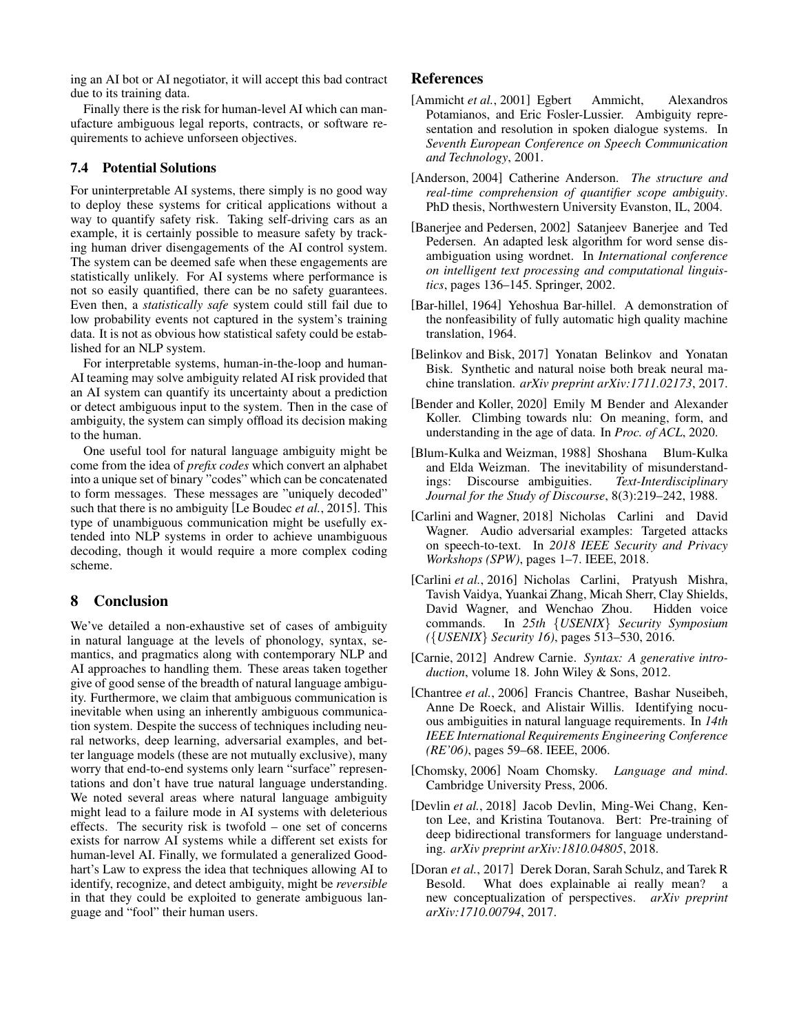ing an AI bot or AI negotiator, it will accept this bad contract due to its training data.

Finally there is the risk for human-level AI which can manufacture ambiguous legal reports, contracts, or software requirements to achieve unforseen objectives.

# 7.4 Potential Solutions

For uninterpretable AI systems, there simply is no good way to deploy these systems for critical applications without a way to quantify safety risk. Taking self-driving cars as an example, it is certainly possible to measure safety by tracking human driver disengagements of the AI control system. The system can be deemed safe when these engagements are statistically unlikely. For AI systems where performance is not so easily quantified, there can be no safety guarantees. Even then, a *statistically safe* system could still fail due to low probability events not captured in the system's training data. It is not as obvious how statistical safety could be established for an NLP system.

For interpretable systems, human-in-the-loop and human-AI teaming may solve ambiguity related AI risk provided that an AI system can quantify its uncertainty about a prediction or detect ambiguous input to the system. Then in the case of ambiguity, the system can simply offload its decision making to the human.

One useful tool for natural language ambiguity might be come from the idea of *prefix codes* which convert an alphabet into a unique set of binary "codes" which can be concatenated to form messages. These messages are "uniquely decoded" such that there is no ambiguity [\[Le Boudec](#page-7-25) *et al.*, 2015]. This type of unambiguous communication might be usefully extended into NLP systems in order to achieve unambiguous decoding, though it would require a more complex coding scheme.

# 8 Conclusion

We've detailed a non-exhaustive set of cases of ambiguity in natural language at the levels of phonology, syntax, semantics, and pragmatics along with contemporary NLP and AI approaches to handling them. These areas taken together give of good sense of the breadth of natural language ambiguity. Furthermore, we claim that ambiguous communication is inevitable when using an inherently ambiguous communication system. Despite the success of techniques including neural networks, deep learning, adversarial examples, and better language models (these are not mutually exclusive), many worry that end-to-end systems only learn "surface" representations and don't have true natural language understanding. We noted several areas where natural language ambiguity might lead to a failure mode in AI systems with deleterious effects. The security risk is twofold – one set of concerns exists for narrow AI systems while a different set exists for human-level AI. Finally, we formulated a generalized Goodhart's Law to express the idea that techniques allowing AI to identify, recognize, and detect ambiguity, might be *reversible* in that they could be exploited to generate ambiguous language and "fool" their human users.

# References

- <span id="page-6-8"></span>[Ammicht *et al.*, 2001] Egbert Ammicht, Alexandros Potamianos, and Eric Fosler-Lussier. Ambiguity representation and resolution in spoken dialogue systems. In *Seventh European Conference on Speech Communication and Technology*, 2001.
- <span id="page-6-4"></span>[Anderson, 2004] Catherine Anderson. *The structure and real-time comprehension of quantifier scope ambiguity*. PhD thesis, Northwestern University Evanston, IL, 2004.
- <span id="page-6-5"></span>[Banerjee and Pedersen, 2002] Satanjeev Banerjee and Ted Pedersen. An adapted lesk algorithm for word sense disambiguation using wordnet. In *International conference on intelligent text processing and computational linguistics*, pages 136–145. Springer, 2002.
- <span id="page-6-11"></span>[Bar-hillel, 1964] Yehoshua Bar-hillel. A demonstration of the nonfeasibility of fully automatic high quality machine translation, 1964.
- <span id="page-6-6"></span>[Belinkov and Bisk, 2017] Yonatan Belinkov and Yonatan Bisk. Synthetic and natural noise both break neural machine translation. *arXiv preprint arXiv:1711.02173*, 2017.
- <span id="page-6-7"></span>[Bender and Koller, 2020] Emily M Bender and Alexander Koller. Climbing towards nlu: On meaning, form, and understanding in the age of data. In *Proc. of ACL*, 2020.
- <span id="page-6-9"></span>[Blum-Kulka and Weizman, 1988] Shoshana Blum-Kulka and Elda Weizman. The inevitability of misunderstandings: Discourse ambiguities. *Text-Interdisciplinary Journal for the Study of Discourse*, 8(3):219–242, 1988.
- <span id="page-6-0"></span>[Carlini and Wagner, 2018] Nicholas Carlini and David Wagner. Audio adversarial examples: Targeted attacks on speech-to-text. In *2018 IEEE Security and Privacy Workshops (SPW)*, pages 1–7. IEEE, 2018.
- <span id="page-6-1"></span>[Carlini *et al.*, 2016] Nicholas Carlini, Pratyush Mishra, Tavish Vaidya, Yuankai Zhang, Micah Sherr, Clay Shields, David Wagner, and Wenchao Zhou. Hidden voice commands. In *25th* {*USENIX*} *Security Symposium (*{*USENIX*} *Security 16)*, pages 513–530, 2016.
- <span id="page-6-2"></span>[Carnie, 2012] Andrew Carnie. *Syntax: A generative introduction*, volume 18. John Wiley & Sons, 2012.
- <span id="page-6-12"></span>[Chantree *et al.*, 2006] Francis Chantree, Bashar Nuseibeh, Anne De Roeck, and Alistair Willis. Identifying nocuous ambiguities in natural language requirements. In *14th IEEE International Requirements Engineering Conference (RE'06)*, pages 59–68. IEEE, 2006.
- [Chomsky, 2006] Noam Chomsky. *Language and mind*. Cambridge University Press, 2006.
- <span id="page-6-3"></span>[Devlin *et al.*, 2018] Jacob Devlin, Ming-Wei Chang, Kenton Lee, and Kristina Toutanova. Bert: Pre-training of deep bidirectional transformers for language understanding. *arXiv preprint arXiv:1810.04805*, 2018.
- <span id="page-6-10"></span>[Doran *et al.*, 2017] Derek Doran, Sarah Schulz, and Tarek R<br>Besold. What does explainable ai really mean? a What does explainable ai really mean? a new conceptualization of perspectives. *arXiv preprint arXiv:1710.00794*, 2017.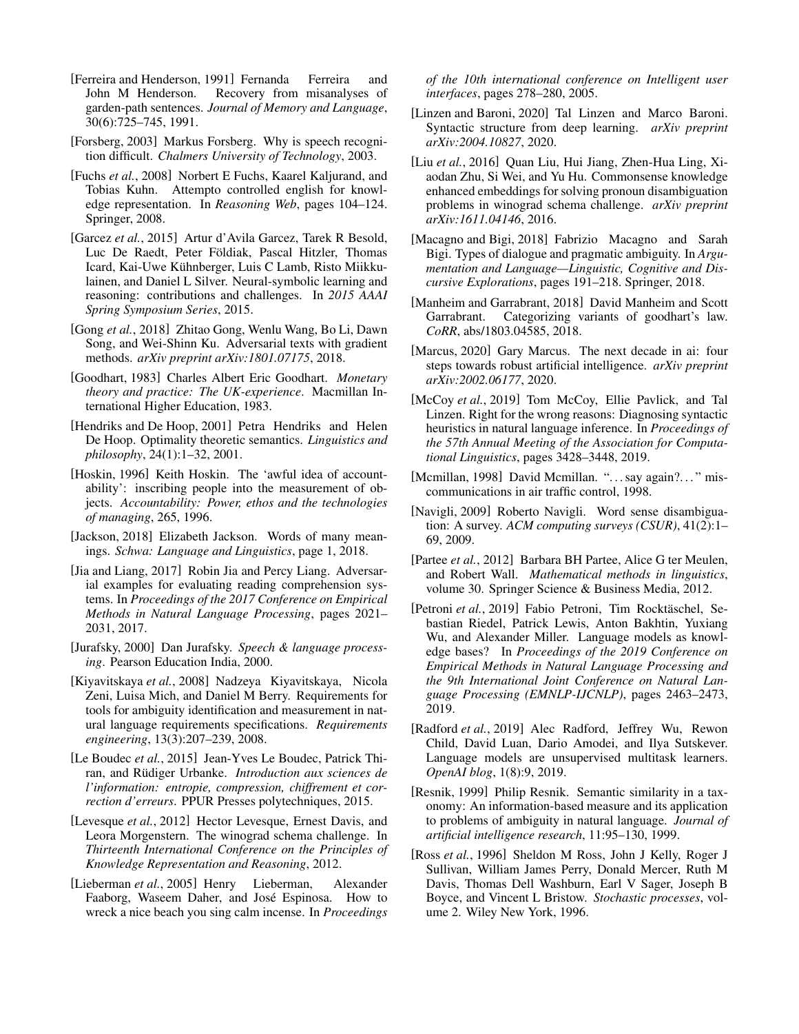- <span id="page-7-3"></span>[Ferreira and Henderson, 1991] Fernanda Ferreira and John M Henderson. Recovery from misanalyses of garden-path sentences. *Journal of Memory and Language*, 30(6):725–745, 1991.
- <span id="page-7-0"></span>[Forsberg, 2003] Markus Forsberg. Why is speech recognition difficult. *Chalmers University of Technology*, 2003.
- <span id="page-7-20"></span>[Fuchs *et al.*, 2008] Norbert E Fuchs, Kaarel Kaljurand, and Tobias Kuhn. Attempto controlled english for knowledge representation. In *Reasoning Web*, pages 104–124. Springer, 2008.
- <span id="page-7-16"></span>[Garcez *et al.*, 2015] Artur d'Avila Garcez, Tarek R Besold, Luc De Raedt, Peter Földiak, Pascal Hitzler, Thomas Icard, Kai-Uwe Kuhnberger, Luis C Lamb, Risto Miikku- ¨ lainen, and Daniel L Silver. Neural-symbolic learning and reasoning: contributions and challenges. In *2015 AAAI Spring Symposium Series*, 2015.
- <span id="page-7-13"></span>[Gong *et al.*, 2018] Zhitao Gong, Wenlu Wang, Bo Li, Dawn Song, and Wei-Shinn Ku. Adversarial texts with gradient methods. *arXiv preprint arXiv:1801.07175*, 2018.
- <span id="page-7-22"></span>[Goodhart, 1983] Charles Albert Eric Goodhart. *Monetary theory and practice: The UK-experience*. Macmillan International Higher Education, 1983.
- <span id="page-7-15"></span>[Hendriks and De Hoop, 2001] Petra Hendriks and Helen De Hoop. Optimality theoretic semantics. *Linguistics and philosophy*, 24(1):1–32, 2001.
- <span id="page-7-23"></span>[Hoskin, 1996] Keith Hoskin. The 'awful idea of accountability': inscribing people into the measurement of objects. *Accountability: Power, ethos and the technologies of managing*, 265, 1996.
- <span id="page-7-8"></span>[Jackson, 2018] Elizabeth Jackson. Words of many meanings. *Schwa: Language and Linguistics*, page 1, 2018.
- <span id="page-7-12"></span>[Jia and Liang, 2017] Robin Jia and Percy Liang. Adversarial examples for evaluating reading comprehension systems. In *Proceedings of the 2017 Conference on Empirical Methods in Natural Language Processing*, pages 2021– 2031, 2017.
- <span id="page-7-1"></span>[Jurafsky, 2000] Dan Jurafsky. *Speech & language processing*. Pearson Education India, 2000.
- <span id="page-7-21"></span>[Kiyavitskaya *et al.*, 2008] Nadzeya Kiyavitskaya, Nicola Zeni, Luisa Mich, and Daniel M Berry. Requirements for tools for ambiguity identification and measurement in natural language requirements specifications. *Requirements engineering*, 13(3):207–239, 2008.
- <span id="page-7-25"></span>[Le Boudec *et al.*, 2015] Jean-Yves Le Boudec, Patrick Thiran, and Rüdiger Urbanke. Introduction aux sciences de *l'information: entropie, compression, chiffrement et correction d'erreurs*. PPUR Presses polytechniques, 2015.
- <span id="page-7-11"></span>[Levesque *et al.*, 2012] Hector Levesque, Ernest Davis, and Leora Morgenstern. The winograd schema challenge. In *Thirteenth International Conference on the Principles of Knowledge Representation and Reasoning*, 2012.
- [Lieberman *et al.*, 2005] Henry Lieberman, Alexander Faaborg, Waseem Daher, and José Espinosa. How to wreck a nice beach you sing calm incense. In *Proceedings*

*of the 10th international conference on Intelligent user interfaces*, pages 278–280, 2005.

- <span id="page-7-2"></span>[Linzen and Baroni, 2020] Tal Linzen and Marco Baroni. Syntactic structure from deep learning. *arXiv preprint arXiv:2004.10827*, 2020.
- [Liu *et al.*, 2016] Quan Liu, Hui Jiang, Zhen-Hua Ling, Xiaodan Zhu, Si Wei, and Yu Hu. Commonsense knowledge enhanced embeddings for solving pronoun disambiguation problems in winograd schema challenge. *arXiv preprint arXiv:1611.04146*, 2016.
- <span id="page-7-17"></span>[Macagno and Bigi, 2018] Fabrizio Macagno and Sarah Bigi. Types of dialogue and pragmatic ambiguity. In *Argumentation and Language—Linguistic, Cognitive and Discursive Explorations*, pages 191–218. Springer, 2018.
- <span id="page-7-24"></span>[Manheim and Garrabrant, 2018] David Manheim and Scott Garrabrant. Categorizing variants of goodhart's law. *CoRR*, abs/1803.04585, 2018.
- <span id="page-7-14"></span>[Marcus, 2020] Gary Marcus. The next decade in ai: four steps towards robust artificial intelligence. *arXiv preprint arXiv:2002.06177*, 2020.
- <span id="page-7-7"></span>[McCoy *et al.*, 2019] Tom McCoy, Ellie Pavlick, and Tal Linzen. Right for the wrong reasons: Diagnosing syntactic heuristics in natural language inference. In *Proceedings of the 57th Annual Meeting of the Association for Computational Linguistics*, pages 3428–3448, 2019.
- <span id="page-7-19"></span>[Mcmillan, 1998] David Mcmillan. "...say again?..." miscommunications in air traffic control, 1998.
- <span id="page-7-9"></span>[Navigli, 2009] Roberto Navigli. Word sense disambiguation: A survey. *ACM computing surveys (CSUR)*, 41(2):1– 69, 2009.
- <span id="page-7-4"></span>[Partee *et al.*, 2012] Barbara BH Partee, Alice G ter Meulen, and Robert Wall. *Mathematical methods in linguistics*, volume 30. Springer Science & Business Media, 2012.
- <span id="page-7-6"></span>[Petroni et al., 2019] Fabio Petroni, Tim Rocktäschel, Sebastian Riedel, Patrick Lewis, Anton Bakhtin, Yuxiang Wu, and Alexander Miller. Language models as knowledge bases? In *Proceedings of the 2019 Conference on Empirical Methods in Natural Language Processing and the 9th International Joint Conference on Natural Language Processing (EMNLP-IJCNLP)*, pages 2463–2473, 2019.
- <span id="page-7-5"></span>[Radford *et al.*, 2019] Alec Radford, Jeffrey Wu, Rewon Child, David Luan, Dario Amodei, and Ilya Sutskever. Language models are unsupervised multitask learners. *OpenAI blog*, 1(8):9, 2019.
- <span id="page-7-10"></span>[Resnik, 1999] Philip Resnik. Semantic similarity in a taxonomy: An information-based measure and its application to problems of ambiguity in natural language. *Journal of artificial intelligence research*, 11:95–130, 1999.
- <span id="page-7-18"></span>[Ross *et al.*, 1996] Sheldon M Ross, John J Kelly, Roger J Sullivan, William James Perry, Donald Mercer, Ruth M Davis, Thomas Dell Washburn, Earl V Sager, Joseph B Boyce, and Vincent L Bristow. *Stochastic processes*, volume 2. Wiley New York, 1996.